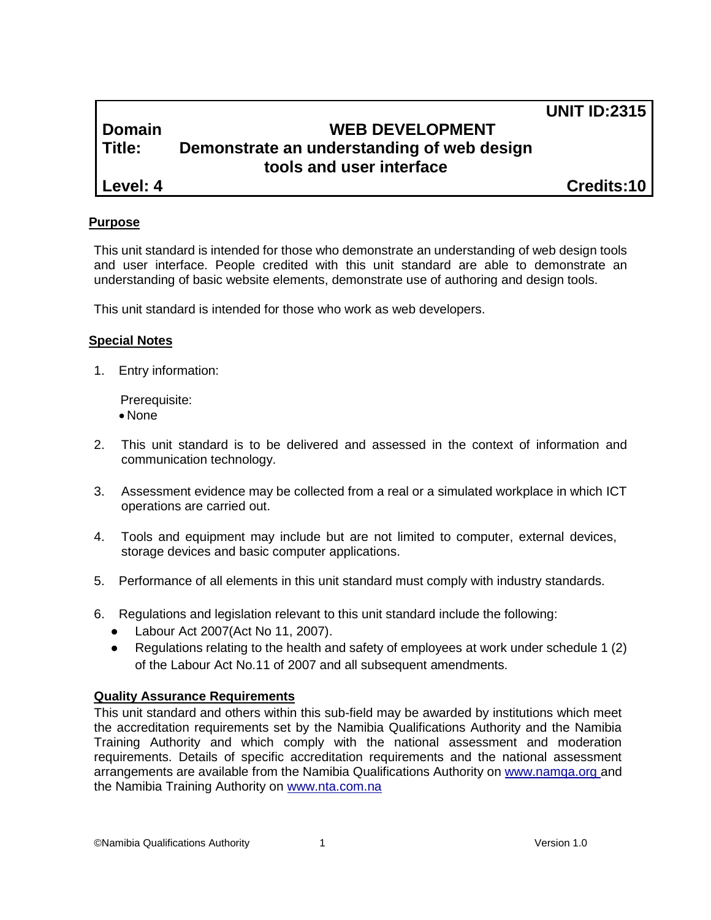# **Domain WEB DEVELOPMENT Title: Demonstrate an understanding of web design tools and user interface**

**Level: 4 Credits:10**

**UNIT ID:2315**

# **Purpose**

This unit standard is intended for those who demonstrate an understanding of web design tools and user interface. People credited with this unit standard are able to demonstrate an understanding of basic website elements, demonstrate use of authoring and design tools.

This unit standard is intended for those who work as web developers.

# **Special Notes**

1. Entry information:

Prerequisite:

- None
- 2. This unit standard is to be delivered and assessed in the context of information and communication technology.
- 3. Assessment evidence may be collected from a real or a simulated workplace in which ICT operations are carried out.
- 4. Tools and equipment may include but are not limited to computer, external devices, storage devices and basic computer applications.
- 5. Performance of all elements in this unit standard must comply with industry standards.
- 6. Regulations and legislation relevant to this unit standard include the following:
	- Labour Act 2007(Act No 11, 2007).
	- Regulations relating to the health and safety of employees at work under schedule 1 (2) of the Labour Act No.11 of 2007 and all subsequent amendments.

# **Quality Assurance Requirements**

This unit standard and others within this sub-field may be awarded by institutions which meet the accreditation requirements set by the Namibia Qualifications Authority and the Namibia Training Authority and which comply with the national assessment and moderation requirements. Details of specific accreditation requirements and the national assessment arrangements are available from the Namibia Qualifications Authority on [www.namqa.org a](http://www.namqa.org/)nd the Namibia Training Authority on [www.nta.com.na](http://www.nta.com.na/)